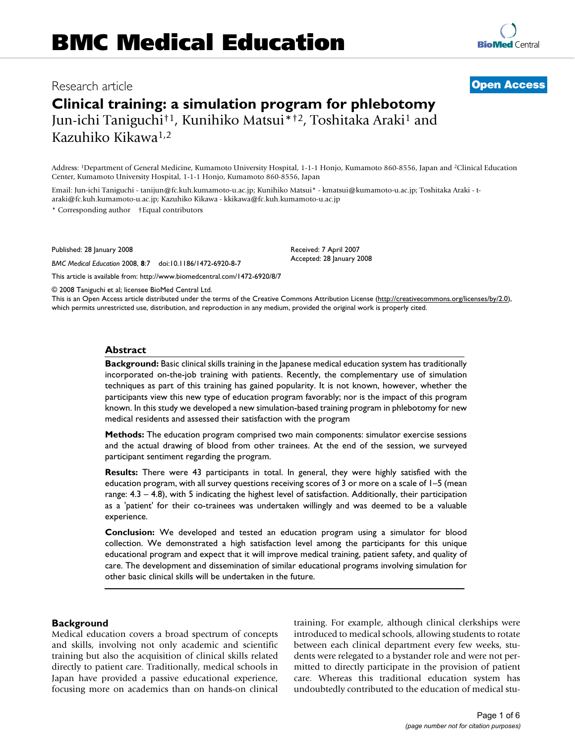# Research article **[Open Access](http://www.biomedcentral.com/info/about/charter/)**

# **Clinical training: a simulation program for phlebotomy**

Jun-ichi Taniguchi†1, Kunihiko Matsui\*†2, Toshitaka Araki1 and Kazuhiko Kikawa1,2

Address: 1Department of General Medicine, Kumamoto University Hospital, 1-1-1 Honjo, Kumamoto 860-8556, Japan and 2Clinical Education Center, Kumamoto University Hospital, 1-1-1 Honjo, Kumamoto 860-8556, Japan

Email: Jun-ichi Taniguchi - tanijun@fc.kuh.kumamoto-u.ac.jp; Kunihiko Matsui\* - kmatsui@kumamoto-u.ac.jp; Toshitaka Araki - taraki@fc.kuh.kumamoto-u.ac.jp; Kazuhiko Kikawa - kkikawa@fc.kuh.kumamoto-u.ac.jp

\* Corresponding author †Equal contributors

Published: 28 January 2008

*BMC Medical Education* 2008, **8**:7 doi:10.1186/1472-6920-8-7

[This article is available from: http://www.biomedcentral.com/1472-6920/8/7](http://www.biomedcentral.com/1472-6920/8/7)

© 2008 Taniguchi et al; licensee BioMed Central Ltd.

This is an Open Access article distributed under the terms of the Creative Commons Attribution License [\(http://creativecommons.org/licenses/by/2.0\)](http://creativecommons.org/licenses/by/2.0), which permits unrestricted use, distribution, and reproduction in any medium, provided the original work is properly cited.

#### **Abstract**

**Background:** Basic clinical skills training in the Japanese medical education system has traditionally incorporated on-the-job training with patients. Recently, the complementary use of simulation techniques as part of this training has gained popularity. It is not known, however, whether the participants view this new type of education program favorably; nor is the impact of this program known. In this study we developed a new simulation-based training program in phlebotomy for new medical residents and assessed their satisfaction with the program

**Methods:** The education program comprised two main components: simulator exercise sessions and the actual drawing of blood from other trainees. At the end of the session, we surveyed participant sentiment regarding the program.

**Results:** There were 43 participants in total. In general, they were highly satisfied with the education program, with all survey questions receiving scores of 3 or more on a scale of 1–5 (mean range:  $4.3 - 4.8$ ), with 5 indicating the highest level of satisfaction. Additionally, their participation as a 'patient' for their co-trainees was undertaken willingly and was deemed to be a valuable experience.

**Conclusion:** We developed and tested an education program using a simulator for blood collection. We demonstrated a high satisfaction level among the participants for this unique educational program and expect that it will improve medical training, patient safety, and quality of care. The development and dissemination of similar educational programs involving simulation for other basic clinical skills will be undertaken in the future.

#### **Background**

Medical education covers a broad spectrum of concepts and skills, involving not only academic and scientific training but also the acquisition of clinical skills related directly to patient care. Traditionally, medical schools in Japan have provided a passive educational experience, focusing more on academics than on hands-on clinical training. For example, although clinical clerkships were introduced to medical schools, allowing students to rotate between each clinical department every few weeks, students were relegated to a bystander role and were not permitted to directly participate in the provision of patient care. Whereas this traditional education system has undoubtedly contributed to the education of medical stu-



Received: 7 April 2007 Accepted: 28 January 2008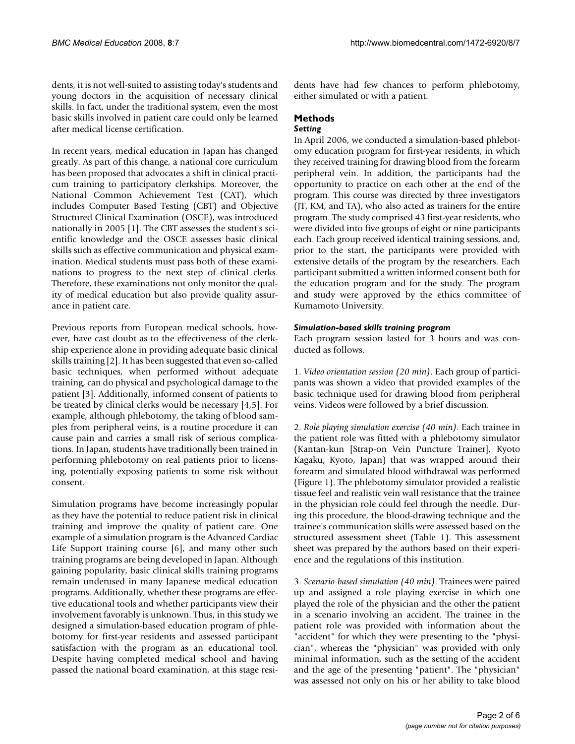dents, it is not well-suited to assisting today's students and young doctors in the acquisition of necessary clinical skills. In fact, under the traditional system, even the most basic skills involved in patient care could only be learned after medical license certification.

In recent years, medical education in Japan has changed greatly. As part of this change, a national core curriculum has been proposed that advocates a shift in clinical practicum training to participatory clerkships. Moreover, the National Common Achievement Test (CAT), which includes Computer Based Testing (CBT) and Objective Structured Clinical Examination (OSCE), was introduced nationally in 2005 [1]. The CBT assesses the student's scientific knowledge and the OSCE assesses basic clinical skills such as effective communication and physical examination. Medical students must pass both of these examinations to progress to the next step of clinical clerks. Therefore, these examinations not only monitor the quality of medical education but also provide quality assurance in patient care.

Previous reports from European medical schools, however, have cast doubt as to the effectiveness of the clerkship experience alone in providing adequate basic clinical skills training [2]. It has been suggested that even so-called basic techniques, when performed without adequate training, can do physical and psychological damage to the patient [3]. Additionally, informed consent of patients to be treated by clinical clerks would be necessary [4,5]. For example, although phlebotomy, the taking of blood samples from peripheral veins, is a routine procedure it can cause pain and carries a small risk of serious complications. In Japan, students have traditionally been trained in performing phlebotomy on real patients prior to licensing, potentially exposing patients to some risk without consent.

Simulation programs have become increasingly popular as they have the potential to reduce patient risk in clinical training and improve the quality of patient care. One example of a simulation program is the Advanced Cardiac Life Support training course [6], and many other such training programs are being developed in Japan. Although gaining popularity, basic clinical skills training programs remain underused in many Japanese medical education programs. Additionally, whether these programs are effective educational tools and whether participants view their involvement favorably is unknown. Thus, in this study we designed a simulation-based education program of phlebotomy for first-year residents and assessed participant satisfaction with the program as an educational tool. Despite having completed medical school and having passed the national board examination, at this stage residents have had few chances to perform phlebotomy, either simulated or with a patient.

# **Methods**

## *Setting*

In April 2006, we conducted a simulation-based phlebotomy education program for first-year residents, in which they received training for drawing blood from the forearm peripheral vein. In addition, the participants had the opportunity to practice on each other at the end of the program. This course was directed by three investigators (JT, KM, and TA), who also acted as trainers for the entire program. The study comprised 43 first-year residents, who were divided into five groups of eight or nine participants each. Each group received identical training sessions, and, prior to the start, the participants were provided with extensive details of the program by the researchers. Each participant submitted a written informed consent both for the education program and for the study. The program and study were approved by the ethics committee of Kumamoto University.

## *Simulation-based skills training program*

Each program session lasted for 3 hours and was conducted as follows.

1. *Video orientation session (20 min)*. Each group of participants was shown a video that provided examples of the basic technique used for drawing blood from peripheral veins. Videos were followed by a brief discussion.

2. *Role playing simulation exercise (40 min)*. Each trainee in the patient role was fitted with a phlebotomy simulator (Kantan-kun [Strap-on Vein Puncture Trainer], Kyoto Kagaku, Kyoto, Japan) that was wrapped around their forearm and simulated blood withdrawal was performed (Figure 1). The phlebotomy simulator provided a realistic tissue feel and realistic vein wall resistance that the trainee in the physician role could feel through the needle. During this procedure, the blood-drawing technique and the trainee's communication skills were assessed based on the structured assessment sheet (Table 1). This assessment sheet was prepared by the authors based on their experience and the regulations of this institution.

3. *Scenario-based simulation (40 min)*. Trainees were paired up and assigned a role playing exercise in which one played the role of the physician and the other the patient in a scenario involving an accident. The trainee in the patient role was provided with information about the "accident" for which they were presenting to the "physician", whereas the "physician" was provided with only minimal information, such as the setting of the accident and the age of the presenting "patient". The "physician" was assessed not only on his or her ability to take blood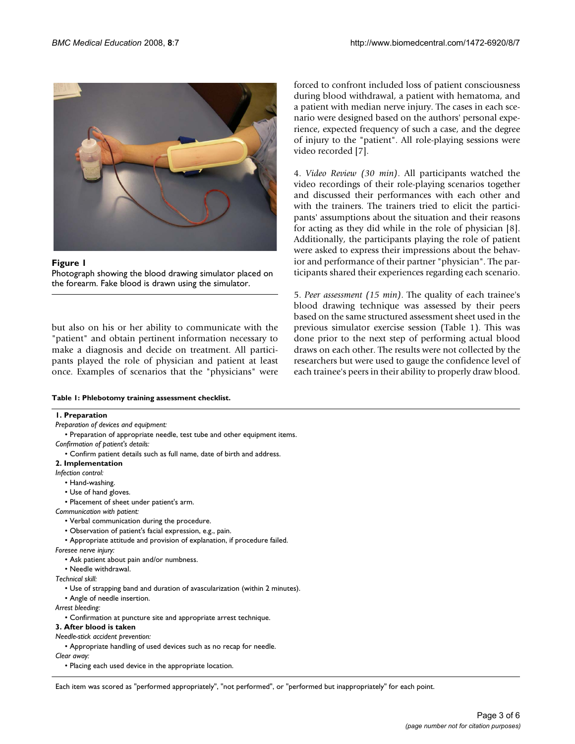

#### **Figure 1**

Photograph showing the blood drawing simulator placed on the forearm. Fake blood is drawn using the simulator.

but also on his or her ability to communicate with the "patient" and obtain pertinent information necessary to make a diagnosis and decide on treatment. All participants played the role of physician and patient at least once. Examples of scenarios that the "physicians" were

#### **Table 1: Phlebotomy training assessment checklist.**

#### **1. Preparation**

- *Preparation of devices and equipment:*
- Preparation of appropriate needle, test tube and other equipment items.

*Confirmation of patient's details:*

• Confirm patient details such as full name, date of birth and address.

#### **2. Implementation**

*Infection control:*

- Hand-washing.
- Use of hand gloves.
- Placement of sheet under patient's arm.
- *Communication with patient:*
	- Verbal communication during the procedure.
	- Observation of patient's facial expression, e.g., pain.
	- Appropriate attitude and provision of explanation, if procedure failed.
- *Foresee nerve injury:*
	- Ask patient about pain and/or numbness.
	- Needle withdrawal.
- *Technical skill:*
	- Use of strapping band and duration of avascularization (within 2 minutes).
	- Angle of needle insertion.

*Arrest bleeding:*

• Confirmation at puncture site and appropriate arrest technique.

#### **3. After blood is taken**

- *Needle-stick accident prevention:*
	- Appropriate handling of used devices such as no recap for needle.

*Clear away:*

• Placing each used device in the appropriate location.

Each item was scored as "performed appropriately", "not performed", or "performed but inappropriately" for each point.

forced to confront included loss of patient consciousness during blood withdrawal, a patient with hematoma, and a patient with median nerve injury. The cases in each scenario were designed based on the authors' personal experience, expected frequency of such a case, and the degree of injury to the "patient". All role-playing sessions were video recorded [7].

4. *Video Review (30 min)*. All participants watched the video recordings of their role-playing scenarios together and discussed their performances with each other and with the trainers. The trainers tried to elicit the participants' assumptions about the situation and their reasons for acting as they did while in the role of physician [8]. Additionally, the participants playing the role of patient were asked to express their impressions about the behavior and performance of their partner "physician". The participants shared their experiences regarding each scenario.

5. *Peer assessment (15 min)*. The quality of each trainee's blood drawing technique was assessed by their peers based on the same structured assessment sheet used in the previous simulator exercise session (Table 1). This was done prior to the next step of performing actual blood draws on each other. The results were not collected by the researchers but were used to gauge the confidence level of each trainee's peers in their ability to properly draw blood.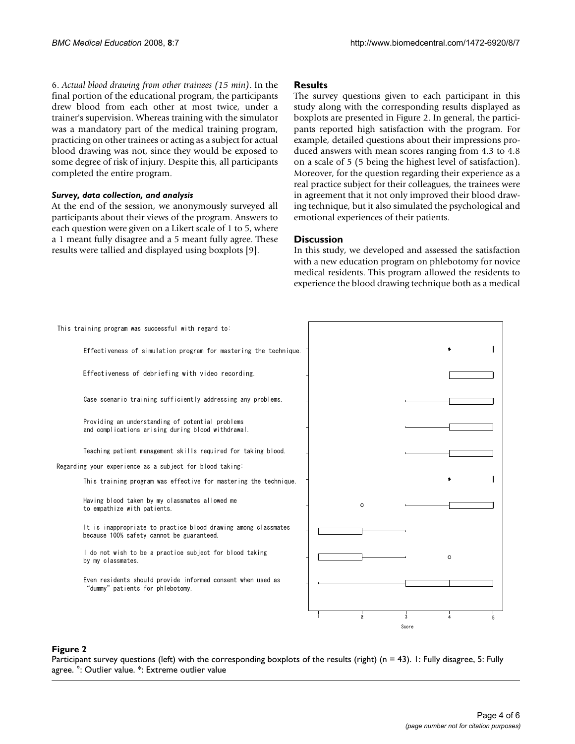6. *Actual blood drawing from other trainees (15 min)*. In the final portion of the educational program, the participants drew blood from each other at most twice, under a trainer's supervision. Whereas training with the simulator was a mandatory part of the medical training program, practicing on other trainees or acting as a subject for actual blood drawing was not, since they would be exposed to some degree of risk of injury. Despite this, all participants completed the entire program.

#### *Survey, data collection, and analysis*

At the end of the session, we anonymously surveyed all participants about their views of the program. Answers to each question were given on a Likert scale of 1 to 5, where a 1 meant fully disagree and a 5 meant fully agree. These results were tallied and displayed using boxplots [9].

## **Results**

The survey questions given to each participant in this study along with the corresponding results displayed as boxplots are presented in Figure 2. In general, the participants reported high satisfaction with the program. For example, detailed questions about their impressions produced answers with mean scores ranging from 4.3 to 4.8 on a scale of 5 (5 being the highest level of satisfaction). Moreover, for the question regarding their experience as a real practice subject for their colleagues, the trainees were in agreement that it not only improved their blood drawing technique, but it also simulated the psychological and emotional experiences of their patients.

## **Discussion**

In this study, we developed and assessed the satisfaction with a new education program on phlebotomy for novice medical residents. This program allowed the residents to experience the blood drawing technique both as a medical



#### Participant survey questions (left) with the corre **Figure 2** sponding boxplots of the results (right) (n = 43)

Participant survey questions (left) with the corresponding boxplots of the results (right) (n = 43). 1: Fully disagree, 5: Fully agree. °: Outlier value. \*: Extreme outlier value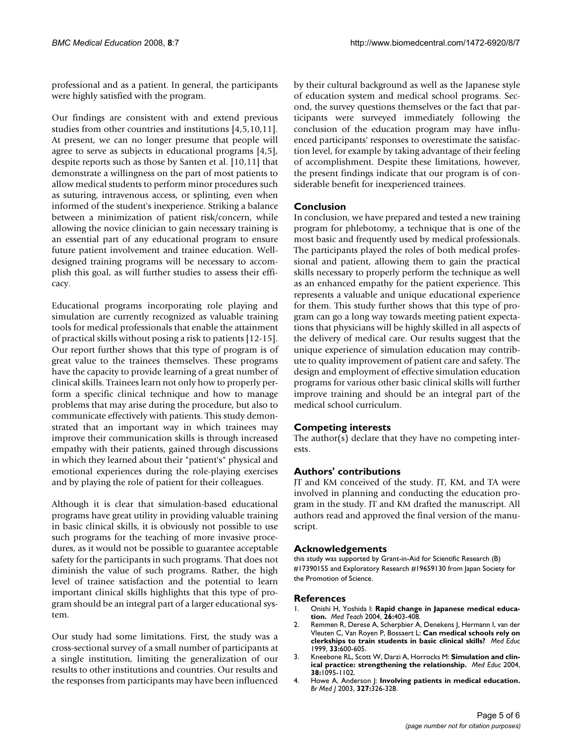professional and as a patient. In general, the participants were highly satisfied with the program.

Our findings are consistent with and extend previous studies from other countries and institutions [4,5,10,11]. At present, we can no longer presume that people will agree to serve as subjects in educational programs [4,5], despite reports such as those by Santen et al. [10,11] that demonstrate a willingness on the part of most patients to allow medical students to perform minor procedures such as suturing, intravenous access, or splinting, even when informed of the student's inexperience. Striking a balance between a minimization of patient risk/concern, while allowing the novice clinician to gain necessary training is an essential part of any educational program to ensure future patient involvement and trainee education. Welldesigned training programs will be necessary to accomplish this goal, as will further studies to assess their efficacy.

Educational programs incorporating role playing and simulation are currently recognized as valuable training tools for medical professionals that enable the attainment of practical skills without posing a risk to patients [12-15]. Our report further shows that this type of program is of great value to the trainees themselves. These programs have the capacity to provide learning of a great number of clinical skills. Trainees learn not only how to properly perform a specific clinical technique and how to manage problems that may arise during the procedure, but also to communicate effectively with patients. This study demonstrated that an important way in which trainees may improve their communication skills is through increased empathy with their patients, gained through discussions in which they learned about their "patient's" physical and emotional experiences during the role-playing exercises and by playing the role of patient for their colleagues.

Although it is clear that simulation-based educational programs have great utility in providing valuable training in basic clinical skills, it is obviously not possible to use such programs for the teaching of more invasive procedures, as it would not be possible to guarantee acceptable safety for the participants in such programs. That does not diminish the value of such programs. Rather, the high level of trainee satisfaction and the potential to learn important clinical skills highlights that this type of program should be an integral part of a larger educational system.

Our study had some limitations. First, the study was a cross-sectional survey of a small number of participants at a single institution, limiting the generalization of our results to other institutions and countries. Our results and the responses from participants may have been influenced

by their cultural background as well as the Japanese style of education system and medical school programs. Second, the survey questions themselves or the fact that participants were surveyed immediately following the conclusion of the education program may have influenced participants' responses to overestimate the satisfaction level, for example by taking advantage of their feeling of accomplishment. Despite these limitations, however, the present findings indicate that our program is of considerable benefit for inexperienced trainees.

## **Conclusion**

In conclusion, we have prepared and tested a new training program for phlebotomy, a technique that is one of the most basic and frequently used by medical professionals. The participants played the roles of both medical professional and patient, allowing them to gain the practical skills necessary to properly perform the technique as well as an enhanced empathy for the patient experience. This represents a valuable and unique educational experience for them. This study further shows that this type of program can go a long way towards meeting patient expectations that physicians will be highly skilled in all aspects of the delivery of medical care. Our results suggest that the unique experience of simulation education may contribute to quality improvement of patient care and safety. The design and employment of effective simulation education programs for various other basic clinical skills will further improve training and should be an integral part of the medical school curriculum.

## **Competing interests**

The author(s) declare that they have no competing interests.

## **Authors' contributions**

JT and KM conceived of the study. JT, KM, and TA were involved in planning and conducting the education program in the study. JT and KM drafted the manuscript. All authors read and approved the final version of the manuscript.

## **Acknowledgements**

this study was supported by Grant-in-Aid for Scientific Research (B) #17390155 and Exploratory Research #19659130 from Japan Society for the Promotion of Science.

## **References**

- 1. Onishi H, Yoshida I: **[Rapid change in Japanese medical educa](http://www.ncbi.nlm.nih.gov/entrez/query.fcgi?cmd=Retrieve&db=PubMed&dopt=Abstract&list_uids=15369878)[tion.](http://www.ncbi.nlm.nih.gov/entrez/query.fcgi?cmd=Retrieve&db=PubMed&dopt=Abstract&list_uids=15369878)** *Med Teach* 2004, **26:**403-408.
- 2. Remmen R, Derese A, Scherpbier A, Denekens J, Hermann I, van der Vleuten C, Van Royen P, Bossaert L: **[Can medical schools rely on](http://www.ncbi.nlm.nih.gov/entrez/query.fcgi?cmd=Retrieve&db=PubMed&dopt=Abstract&list_uids=10447847) [clerkships to train students in basic clinical skills?](http://www.ncbi.nlm.nih.gov/entrez/query.fcgi?cmd=Retrieve&db=PubMed&dopt=Abstract&list_uids=10447847)** *Med Educ* 1999, **33:**600-605.
- 3. Kneebone RL, Scott W, Darzi A, Horrocks M: **[Simulation and clin](http://www.ncbi.nlm.nih.gov/entrez/query.fcgi?cmd=Retrieve&db=PubMed&dopt=Abstract&list_uids=15461655)[ical practice: strengthening the relationship.](http://www.ncbi.nlm.nih.gov/entrez/query.fcgi?cmd=Retrieve&db=PubMed&dopt=Abstract&list_uids=15461655)** *Med Educ* 2004, **38:**1095-1102.
- 4. Howe A, Anderson J: **Involving patients in medical education.** *Br Med J* 2003, **327:**326-328.